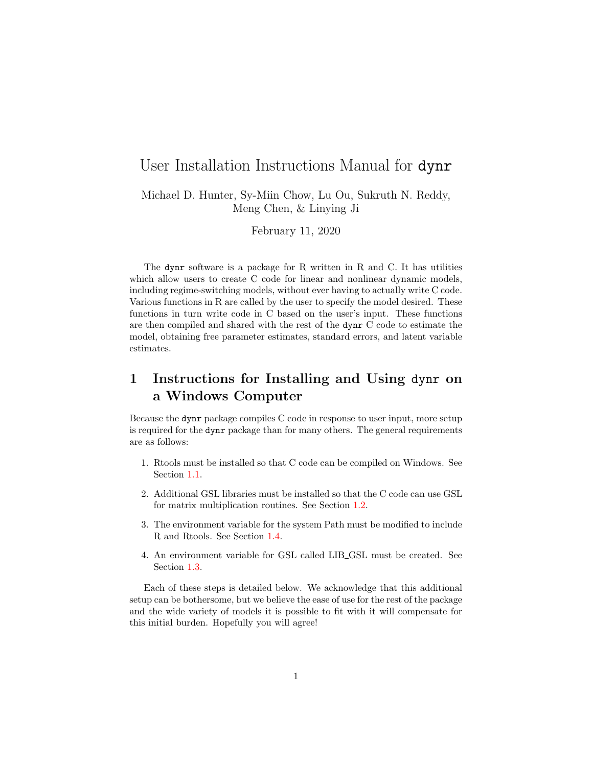### User Installation Instructions Manual for dynr

Michael D. Hunter, Sy-Miin Chow, Lu Ou, Sukruth N. Reddy, Meng Chen, & Linying Ji

February 11, 2020

The dynr software is a package for R written in R and C. It has utilities which allow users to create C code for linear and nonlinear dynamic models, including regime-switching models, without ever having to actually write C code. Various functions in R are called by the user to specify the model desired. These functions in turn write code in C based on the user's input. These functions are then compiled and shared with the rest of the dynr C code to estimate the model, obtaining free parameter estimates, standard errors, and latent variable estimates.

## 1 Instructions for Installing and Using dynr on a Windows Computer

Because the dynr package compiles C code in response to user input, more setup is required for the dynr package than for many others. The general requirements are as follows:

- 1. Rtools must be installed so that C code can be compiled on Windows. See Section [1.1.](#page-1-0)
- 2. Additional GSL libraries must be installed so that the C code can use GSL for matrix multiplication routines. See Section [1.2.](#page-2-0)
- 3. The environment variable for the system Path must be modified to include R and Rtools. See Section [1.4.](#page-2-1)
- 4. An environment variable for GSL called LIB GSL must be created. See Section [1.3.](#page-2-2)

Each of these steps is detailed below. We acknowledge that this additional setup can be bothersome, but we believe the ease of use for the rest of the package and the wide variety of models it is possible to fit with it will compensate for this initial burden. Hopefully you will agree!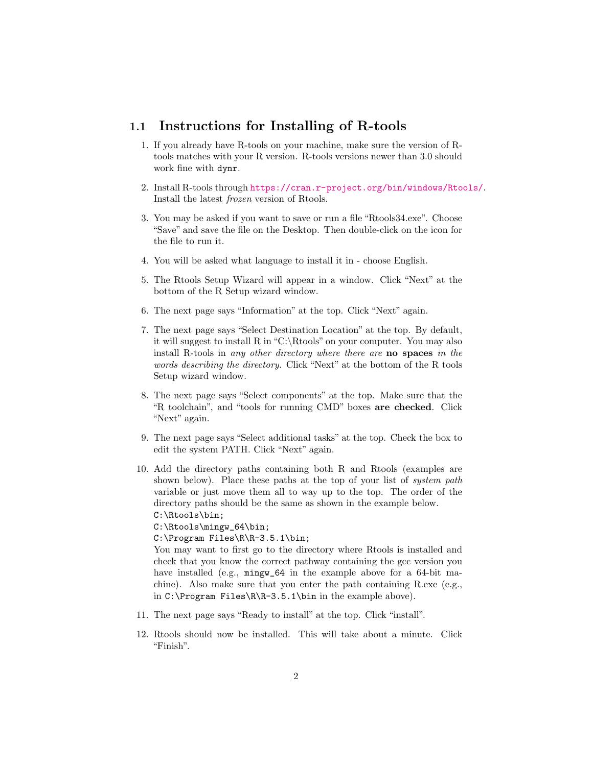#### <span id="page-1-0"></span>1.1 Instructions for Installing of R-tools

- 1. If you already have R-tools on your machine, make sure the version of Rtools matches with your R version. R-tools versions newer than 3.0 should work fine with dynr.
- 2. Install R-tools through <https://cran.r-project.org/bin/windows/Rtools/>. Install the latest frozen version of Rtools.
- 3. You may be asked if you want to save or run a file "Rtools34.exe". Choose "Save" and save the file on the Desktop. Then double-click on the icon for the file to run it.
- 4. You will be asked what language to install it in choose English.
- 5. The Rtools Setup Wizard will appear in a window. Click "Next" at the bottom of the R Setup wizard window.
- 6. The next page says "Information" at the top. Click "Next" again.
- 7. The next page says "Select Destination Location" at the top. By default, it will suggest to install R in "C:\Rtools" on your computer. You may also install R-tools in any other directory where there are no spaces in the words describing the directory. Click "Next" at the bottom of the R tools Setup wizard window.
- 8. The next page says "Select components" at the top. Make sure that the "R toolchain", and "tools for running CMD" boxes are checked. Click "Next" again.
- 9. The next page says "Select additional tasks" at the top. Check the box to edit the system PATH. Click "Next" again.
- 10. Add the directory paths containing both R and Rtools (examples are shown below). Place these paths at the top of your list of *system path* variable or just move them all to way up to the top. The order of the directory paths should be the same as shown in the example below. C:\Rtools\bin;

C:\Rtools\mingw\_64\bin;

C:\Program Files\R\R-3.5.1\bin;

You may want to first go to the directory where Rtools is installed and check that you know the correct pathway containing the gcc version you have installed (e.g.,  $\text{mingw}_64$  in the example above for a 64-bit machine). Also make sure that you enter the path containing R.exe (e.g., in C:\Program Files\R\R-3.5.1\bin in the example above).

- 11. The next page says "Ready to install" at the top. Click "install".
- 12. Rtools should now be installed. This will take about a minute. Click "Finish".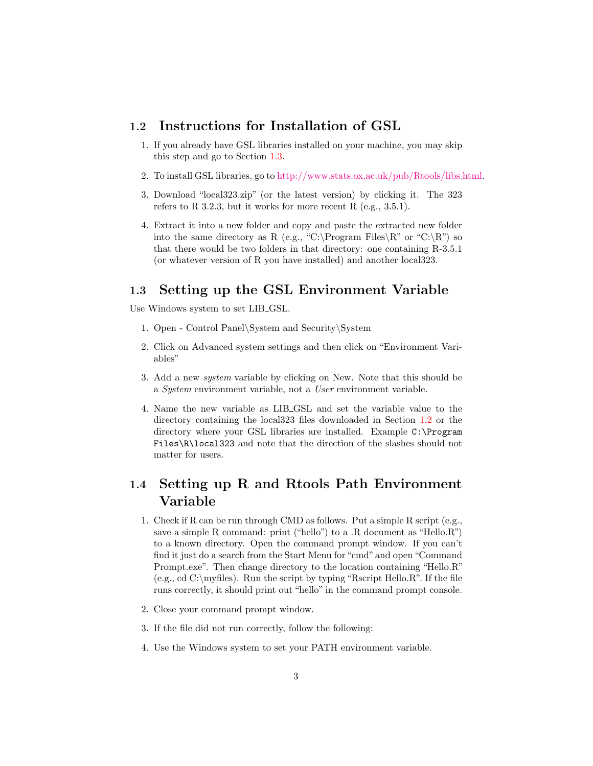#### <span id="page-2-0"></span>1.2 Instructions for Installation of GSL

- 1. If you already have GSL libraries installed on your machine, you may skip this step and go to Section [1.3.](#page-2-2)
- 2. To install GSL libraries, go to [http://www.stats.ox.ac.uk/pub/Rtools/libs.html.](http://www.stats.ox.ac.uk/pub/Rtools/libs.html)
- 3. Download "local323.zip" (or the latest version) by clicking it. The 323 refers to R 3.2.3, but it works for more recent R  $(e.g., 3.5.1)$ .
- 4. Extract it into a new folder and copy and paste the extracted new folder into the same directory as R (e.g., "C:\Program Files\R" or "C:\R") so that there would be two folders in that directory: one containing R-3.5.1 (or whatever version of R you have installed) and another local323.

#### <span id="page-2-2"></span>1.3 Setting up the GSL Environment Variable

Use Windows system to set LIB\_GSL.

- 1. Open Control Panel\System and Security\System
- 2. Click on Advanced system settings and then click on "Environment Variables"
- 3. Add a new system variable by clicking on New. Note that this should be a System environment variable, not a User environment variable.
- 4. Name the new variable as LIB GSL and set the variable value to the directory containing the local323 files downloaded in Section [1.2](#page-2-0) or the directory where your GSL libraries are installed. Example C:\Program Files\R\local323 and note that the direction of the slashes should not matter for users.

## <span id="page-2-1"></span>1.4 Setting up R and Rtools Path Environment Variable

- 1. Check if R can be run through CMD as follows. Put a simple R script (e.g., save a simple R command: print ("hello") to a .R document as "Hello.R") to a known directory. Open the command prompt window. If you can't find it just do a search from the Start Menu for "cmd" and open "Command Prompt.exe". Then change directory to the location containing "Hello.R" (e.g., cd C:\myfiles). Run the script by typing "Rscript Hello.R". If the file runs correctly, it should print out "hello" in the command prompt console.
- 2. Close your command prompt window.
- 3. If the file did not run correctly, follow the following:
- 4. Use the Windows system to set your PATH environment variable.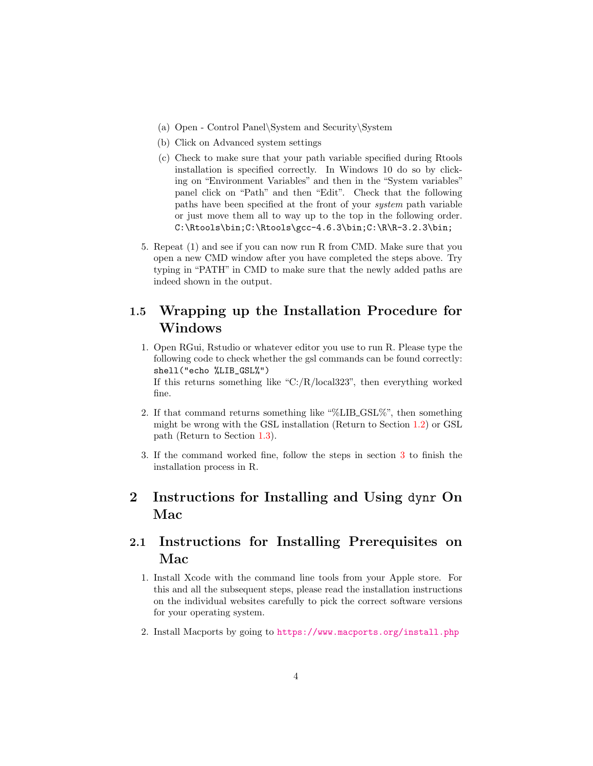- (a) Open Control Panel\System and Security\System
- (b) Click on Advanced system settings
- (c) Check to make sure that your path variable specified during Rtools installation is specified correctly. In Windows 10 do so by clicking on "Environment Variables" and then in the "System variables" panel click on "Path" and then "Edit". Check that the following paths have been specified at the front of your system path variable or just move them all to way up to the top in the following order. C:\Rtools\bin;C:\Rtools\gcc-4.6.3\bin;C:\R\R-3.2.3\bin;
- 5. Repeat (1) and see if you can now run R from CMD. Make sure that you open a new CMD window after you have completed the steps above. Try typing in "PATH" in CMD to make sure that the newly added paths are indeed shown in the output.

### 1.5 Wrapping up the Installation Procedure for Windows

- 1. Open RGui, Rstudio or whatever editor you use to run R. Please type the following code to check whether the gsl commands can be found correctly: shell("echo %LIB\_GSL%") If this returns something like "C:/R/local323", then everything worked fine.
- 2. If that command returns something like "%LIB GSL%", then something might be wrong with the GSL installation (Return to Section [1.2\)](#page-2-0) or GSL path (Return to Section [1.3\)](#page-2-2).
- 3. If the command worked fine, follow the steps in section [3](#page-4-0) to finish the installation process in R.

# 2 Instructions for Installing and Using dynr On Mac

## <span id="page-3-0"></span>2.1 Instructions for Installing Prerequisites on Mac

- 1. Install Xcode with the command line tools from your Apple store. For this and all the subsequent steps, please read the installation instructions on the individual websites carefully to pick the correct software versions for your operating system.
- 2. Install Macports by going to <https://www.macports.org/install.php>